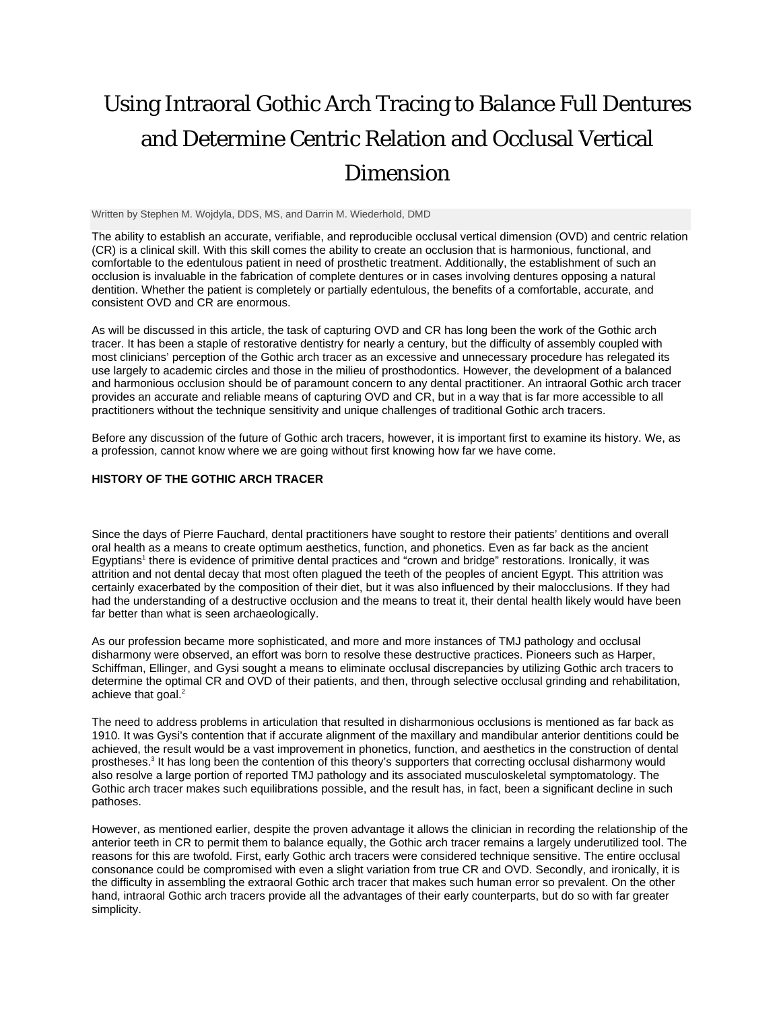# Using Intraoral Gothic Arch Tracing to Balance Full Dentures and Determine Centric Relation and Occlusal Vertical Dimension

Written by Stephen M. Wojdyla, DDS, MS, and Darrin M. Wiederhold, DMD

The ability to establish an accurate, verifiable, and reproducible occlusal vertical dimension (OVD) and centric relation (CR) is a clinical skill. With this skill comes the ability to create an occlusion that is harmonious, functional, and comfortable to the edentulous patient in need of prosthetic treatment. Additionally, the establishment of such an occlusion is invaluable in the fabrication of complete dentures or in cases involving dentures opposing a natural dentition. Whether the patient is completely or partially edentulous, the benefits of a comfortable, accurate, and consistent OVD and CR are enormous.

As will be discussed in this article, the task of capturing OVD and CR has long been the work of the Gothic arch tracer. It has been a staple of restorative dentistry for nearly a century, but the difficulty of assembly coupled with most clinicians' perception of the Gothic arch tracer as an excessive and unnecessary procedure has relegated its use largely to academic circles and those in the milieu of prosthodontics. However, the development of a balanced and harmonious occlusion should be of paramount concern to any dental practitioner. An intraoral Gothic arch tracer provides an accurate and reliable means of capturing OVD and CR, but in a way that is far more accessible to all practitioners without the technique sensitivity and unique challenges of traditional Gothic arch tracers.

Before any discussion of the future of Gothic arch tracers, however, it is important first to examine its history. We, as a profession, cannot know where we are going without first knowing how far we have come.

## **HISTORY OF THE GOTHIC ARCH TRACER**

Since the days of Pierre Fauchard, dental practitioners have sought to restore their patients' dentitions and overall oral health as a means to create optimum aesthetics, function, and phonetics. Even as far back as the ancient Egyptians<sup>1</sup> there is evidence of primitive dental practices and "crown and bridge" restorations. Ironically, it was attrition and not dental decay that most often plagued the teeth of the peoples of ancient Egypt. This attrition was certainly exacerbated by the composition of their diet, but it was also influenced by their malocclusions. If they had had the understanding of a destructive occlusion and the means to treat it, their dental health likely would have been far better than what is seen archaeologically.

As our profession became more sophisticated, and more and more instances of TMJ pathology and occlusal disharmony were observed, an effort was born to resolve these destructive practices. Pioneers such as Harper, Schiffman, Ellinger, and Gysi sought a means to eliminate occlusal discrepancies by utilizing Gothic arch tracers to determine the optimal CR and OVD of their patients, and then, through selective occlusal grinding and rehabilitation, achieve that goal.<sup>2</sup>

The need to address problems in articulation that resulted in disharmonious occlusions is mentioned as far back as 1910. It was Gysi's contention that if accurate alignment of the maxillary and mandibular anterior dentitions could be achieved, the result would be a vast improvement in phonetics, function, and aesthetics in the construction of dental prostheses.<sup>3</sup> It has long been the contention of this theory's supporters that correcting occlusal disharmony would also resolve a large portion of reported TMJ pathology and its associated musculoskeletal symptomatology. The Gothic arch tracer makes such equilibrations possible, and the result has, in fact, been a significant decline in such pathoses.

However, as mentioned earlier, despite the proven advantage it allows the clinician in recording the relationship of the anterior teeth in CR to permit them to balance equally, the Gothic arch tracer remains a largely underutilized tool. The reasons for this are twofold. First, early Gothic arch tracers were considered technique sensitive. The entire occlusal consonance could be compromised with even a slight variation from true CR and OVD. Secondly, and ironically, it is the difficulty in assembling the extraoral Gothic arch tracer that makes such human error so prevalent. On the other hand, intraoral Gothic arch tracers provide all the advantages of their early counterparts, but do so with far greater simplicity.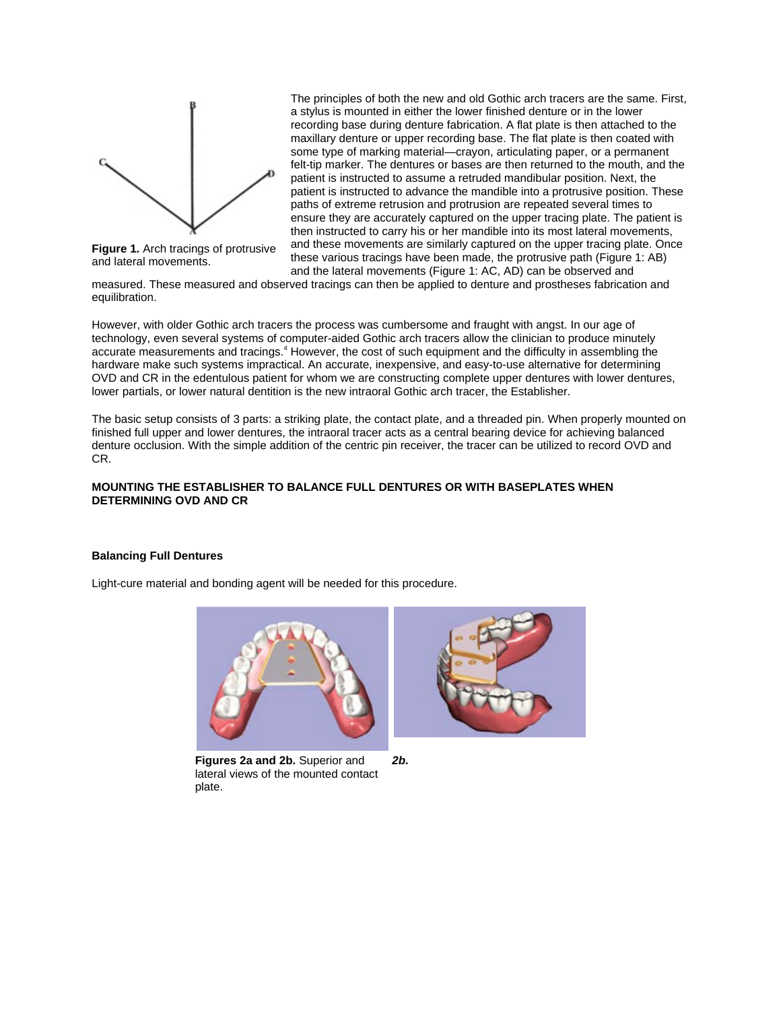

**Figure 1.** Arch tracings of protrusive and lateral movements.

The principles of both the new and old Gothic arch tracers are the same. First, a stylus is mounted in either the lower finished denture or in the lower recording base during denture fabrication. A flat plate is then attached to the maxillary denture or upper recording base. The flat plate is then coated with some type of marking material—crayon, articulating paper, or a permanent felt-tip marker. The dentures or bases are then returned to the mouth, and the patient is instructed to assume a retruded mandibular position. Next, the patient is instructed to advance the mandible into a protrusive position. These paths of extreme retrusion and protrusion are repeated several times to ensure they are accurately captured on the upper tracing plate. The patient is then instructed to carry his or her mandible into its most lateral movements, and these movements are similarly captured on the upper tracing plate. Once these various tracings have been made, the protrusive path (Figure 1: AB) and the lateral movements (Figure 1: AC, AD) can be observed and

measured. These measured and observed tracings can then be applied to denture and prostheses fabrication and equilibration.

However, with older Gothic arch tracers the process was cumbersome and fraught with angst. In our age of technology, even several systems of computer-aided Gothic arch tracers allow the clinician to produce minutely accurate measurements and tracings.<sup>4</sup> However, the cost of such equipment and the difficulty in assembling the hardware make such systems impractical. An accurate, inexpensive, and easy-to-use alternative for determining OVD and CR in the edentulous patient for whom we are constructing complete upper dentures with lower dentures, lower partials, or lower natural dentition is the new intraoral Gothic arch tracer, the Establisher.

The basic setup consists of 3 parts: a striking plate, the contact plate, and a threaded pin. When properly mounted on finished full upper and lower dentures, the intraoral tracer acts as a central bearing device for achieving balanced denture occlusion. With the simple addition of the centric pin receiver, the tracer can be utilized to record OVD and CR.

#### **MOUNTING THE ESTABLISHER TO BALANCE FULL DENTURES OR WITH BASEPLATES WHEN DETERMINING OVD AND CR**

## **Balancing Full Dentures**

Light-cure material and bonding agent will be needed for this procedure.



**Figures 2a and 2b.** Superior and lateral views of the mounted contact plate.



*2b.*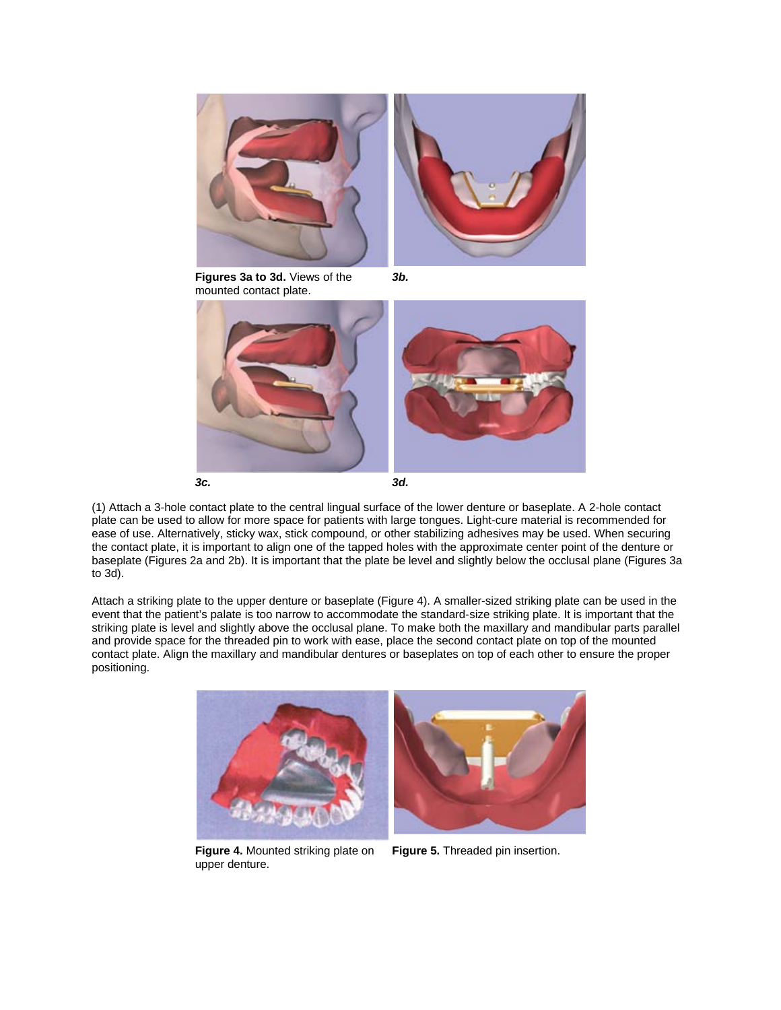

**Figures 3a to 3d.** Views of the mounted contact plate.







(1) Attach a 3-hole contact plate to the central lingual surface of the lower denture or baseplate. A 2-hole contact plate can be used to allow for more space for patients with large tongues. Light-cure material is recommended for ease of use. Alternatively, sticky wax, stick compound, or other stabilizing adhesives may be used. When securing the contact plate, it is important to align one of the tapped holes with the approximate center point of the denture or baseplate (Figures 2a and 2b). It is important that the plate be level and slightly below the occlusal plane (Figures 3a to 3d).

Attach a striking plate to the upper denture or baseplate (Figure 4). A smaller-sized striking plate can be used in the event that the patient's palate is too narrow to accommodate the standard-size striking plate. It is important that the striking plate is level and slightly above the occlusal plane. To make both the maxillary and mandibular parts parallel and provide space for the threaded pin to work with ease, place the second contact plate on top of the mounted contact plate. Align the maxillary and mandibular dentures or baseplates on top of each other to ensure the proper positioning.



**Figure 4.** Mounted striking plate on upper denture.

**Figure 5.** Threaded pin insertion.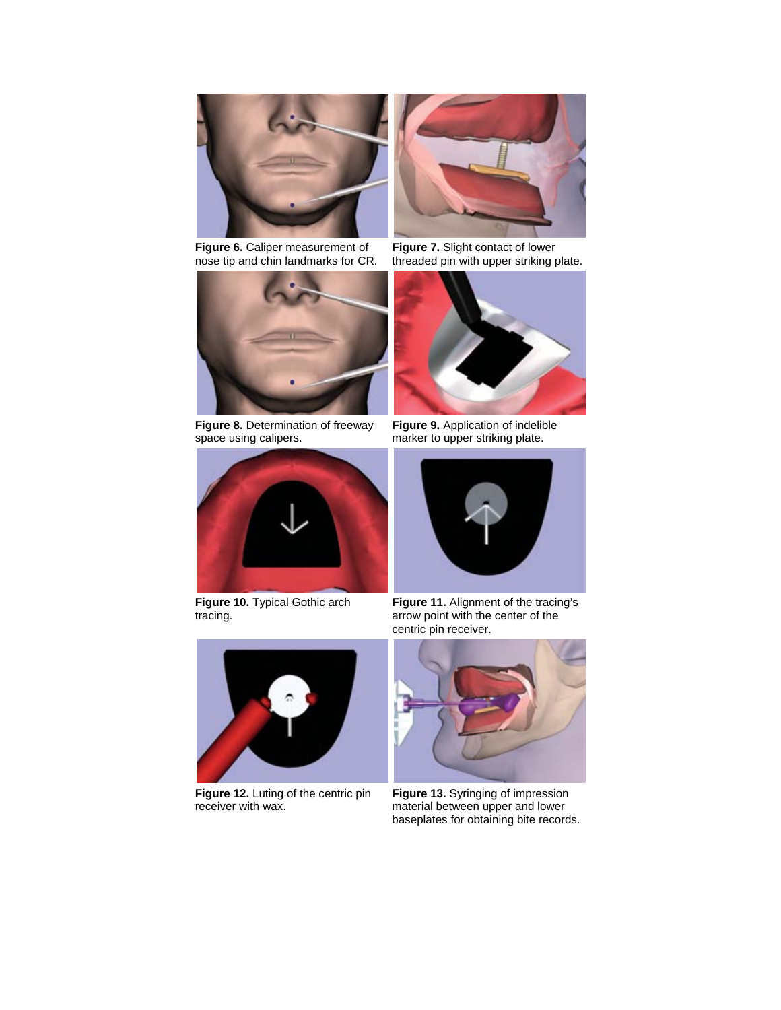

**Figure 6.** Caliper measurement of nose tip and chin landmarks for CR.



**Figure 8.** Determination of freeway space using calipers.



**Figure 10.** Typical Gothic arch tracing.



**Figure 12.** Luting of the centric pin receiver with wax.



**Figure 7.** Slight contact of lower threaded pin with upper striking plate.



**Figure 9.** Application of indelible marker to upper striking plate.



**Figure 11.** Alignment of the tracing's arrow point with the center of the centric pin receiver.



**Figure 13.** Syringing of impression material between upper and lower baseplates for obtaining bite records.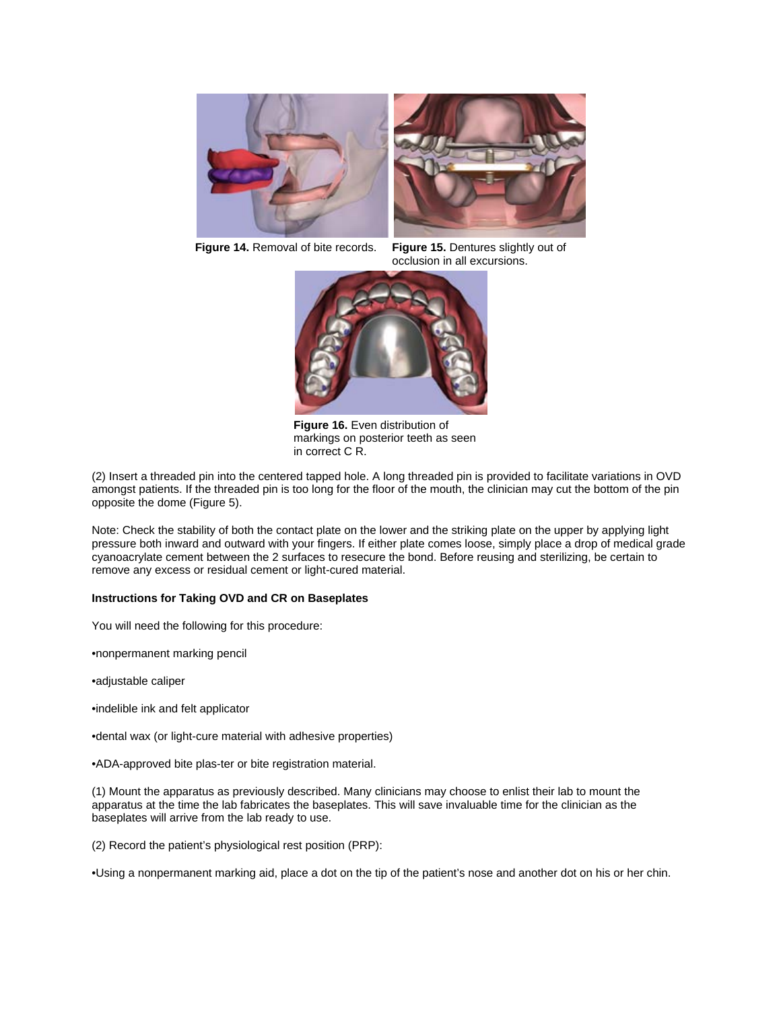



**Figure 14.** Removal of bite records. **Figure 15.** Dentures slightly out of occlusion in all excursions.



**Figure 16.** Even distribution of markings on posterior teeth as seen in correct C R.

(2) Insert a threaded pin into the centered tapped hole. A long threaded pin is provided to facilitate variations in OVD amongst patients. If the threaded pin is too long for the floor of the mouth, the clinician may cut the bottom of the pin opposite the dome (Figure 5).

Note: Check the stability of both the contact plate on the lower and the striking plate on the upper by applying light pressure both inward and outward with your fingers. If either plate comes loose, simply place a drop of medical grade cyanoacrylate cement between the 2 surfaces to resecure the bond. Before reusing and sterilizing, be certain to remove any excess or residual cement or light-cured material.

## **Instructions for Taking OVD and CR on Baseplates**

You will need the following for this procedure:

•nonpermanent marking pencil

•adjustable caliper

•indelible ink and felt applicator

•dental wax (or light-cure material with adhesive properties)

•ADA-approved bite plas-ter or bite registration material.

(1) Mount the apparatus as previously described. Many clinicians may choose to enlist their lab to mount the apparatus at the time the lab fabricates the baseplates. This will save invaluable time for the clinician as the baseplates will arrive from the lab ready to use.

(2) Record the patient's physiological rest position (PRP):

•Using a nonpermanent marking aid, place a dot on the tip of the patient's nose and another dot on his or her chin.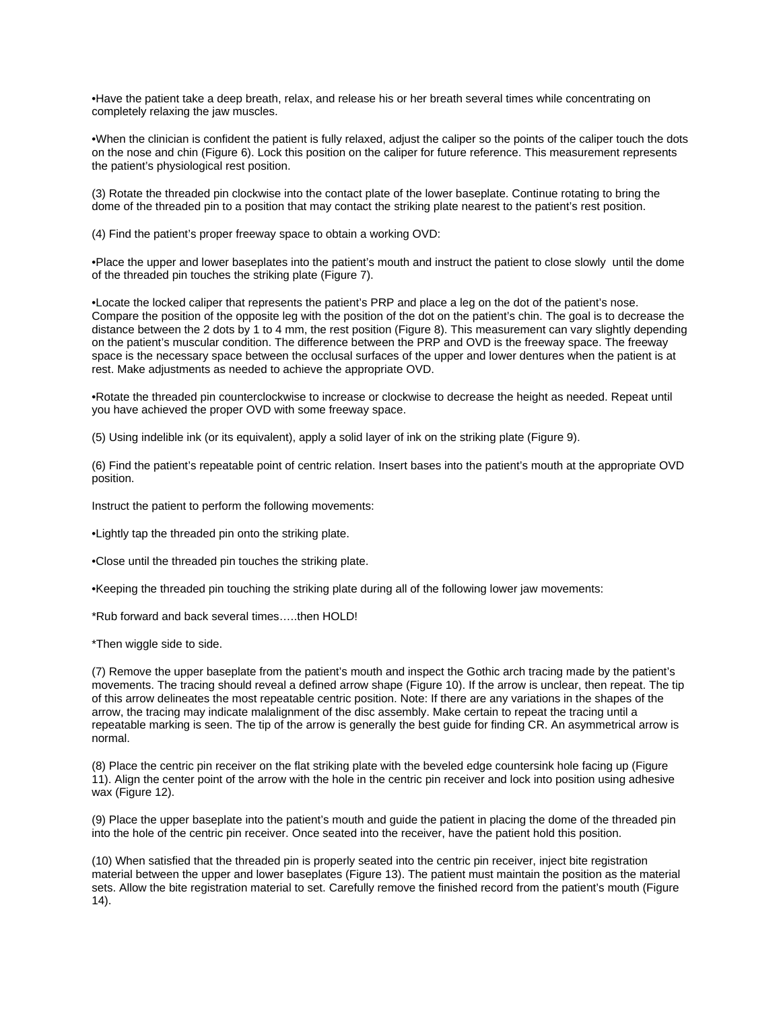•Have the patient take a deep breath, relax, and release his or her breath several times while concentrating on completely relaxing the jaw muscles.

•When the clinician is confident the patient is fully relaxed, adjust the caliper so the points of the caliper touch the dots on the nose and chin (Figure 6). Lock this position on the caliper for future reference. This measurement represents the patient's physiological rest position.

(3) Rotate the threaded pin clockwise into the contact plate of the lower baseplate. Continue rotating to bring the dome of the threaded pin to a position that may contact the striking plate nearest to the patient's rest position.

(4) Find the patient's proper freeway space to obtain a working OVD:

•Place the upper and lower baseplates into the patient's mouth and instruct the patient to close slowly until the dome of the threaded pin touches the striking plate (Figure 7).

•Locate the locked caliper that represents the patient's PRP and place a leg on the dot of the patient's nose. Compare the position of the opposite leg with the position of the dot on the patient's chin. The goal is to decrease the distance between the 2 dots by 1 to 4 mm, the rest position (Figure 8). This measurement can vary slightly depending on the patient's muscular condition. The difference between the PRP and OVD is the freeway space. The freeway space is the necessary space between the occlusal surfaces of the upper and lower dentures when the patient is at rest. Make adjustments as needed to achieve the appropriate OVD.

•Rotate the threaded pin counterclockwise to increase or clockwise to decrease the height as needed. Repeat until you have achieved the proper OVD with some freeway space.

(5) Using indelible ink (or its equivalent), apply a solid layer of ink on the striking plate (Figure 9).

(6) Find the patient's repeatable point of centric relation. Insert bases into the patient's mouth at the appropriate OVD position.

Instruct the patient to perform the following movements:

•Lightly tap the threaded pin onto the striking plate.

•Close until the threaded pin touches the striking plate.

•Keeping the threaded pin touching the striking plate during all of the following lower jaw movements:

\*Rub forward and back several times…..then HOLD!

\*Then wiggle side to side.

(7) Remove the upper baseplate from the patient's mouth and inspect the Gothic arch tracing made by the patient's movements. The tracing should reveal a defined arrow shape (Figure 10). If the arrow is unclear, then repeat. The tip of this arrow delineates the most repeatable centric position. Note: If there are any variations in the shapes of the arrow, the tracing may indicate malalignment of the disc assembly. Make certain to repeat the tracing until a repeatable marking is seen. The tip of the arrow is generally the best guide for finding CR. An asymmetrical arrow is normal.

(8) Place the centric pin receiver on the flat striking plate with the beveled edge countersink hole facing up (Figure 11). Align the center point of the arrow with the hole in the centric pin receiver and lock into position using adhesive wax (Figure 12).

(9) Place the upper baseplate into the patient's mouth and guide the patient in placing the dome of the threaded pin into the hole of the centric pin receiver. Once seated into the receiver, have the patient hold this position.

(10) When satisfied that the threaded pin is properly seated into the centric pin receiver, inject bite registration material between the upper and lower baseplates (Figure 13). The patient must maintain the position as the material sets. Allow the bite registration material to set. Carefully remove the finished record from the patient's mouth (Figure 14).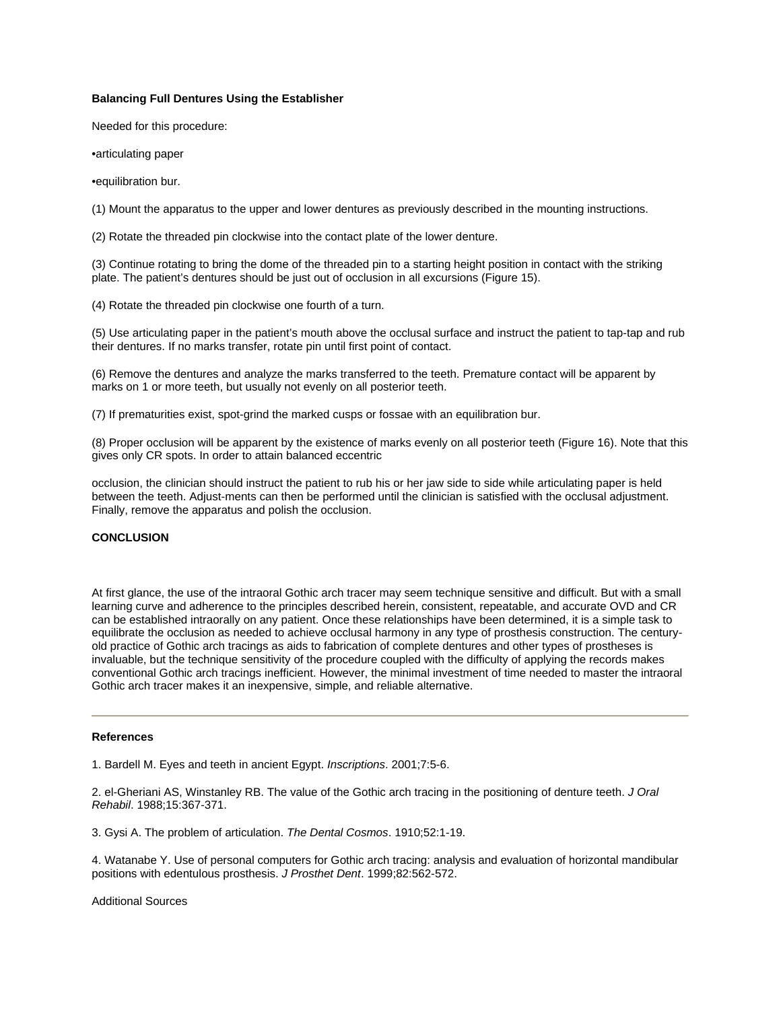## **Balancing Full Dentures Using the Establisher**

Needed for this procedure:

•articulating paper

•equilibration bur.

(1) Mount the apparatus to the upper and lower dentures as previously described in the mounting instructions.

(2) Rotate the threaded pin clockwise into the contact plate of the lower denture.

(3) Continue rotating to bring the dome of the threaded pin to a starting height position in contact with the striking plate. The patient's dentures should be just out of occlusion in all excursions (Figure 15).

(4) Rotate the threaded pin clockwise one fourth of a turn.

(5) Use articulating paper in the patient's mouth above the occlusal surface and instruct the patient to tap-tap and rub their dentures. If no marks transfer, rotate pin until first point of contact.

(6) Remove the dentures and analyze the marks transferred to the teeth. Premature contact will be apparent by marks on 1 or more teeth, but usually not evenly on all posterior teeth.

(7) If prematurities exist, spot-grind the marked cusps or fossae with an equilibration bur.

(8) Proper occlusion will be apparent by the existence of marks evenly on all posterior teeth (Figure 16). Note that this gives only CR spots. In order to attain balanced eccentric

occlusion, the clinician should instruct the patient to rub his or her jaw side to side while articulating paper is held between the teeth. Adjust-ments can then be performed until the clinician is satisfied with the occlusal adjustment. Finally, remove the apparatus and polish the occlusion.

#### **CONCLUSION**

At first glance, the use of the intraoral Gothic arch tracer may seem technique sensitive and difficult. But with a small learning curve and adherence to the principles described herein, consistent, repeatable, and accurate OVD and CR can be established intraorally on any patient. Once these relationships have been determined, it is a simple task to equilibrate the occlusion as needed to achieve occlusal harmony in any type of prosthesis construction. The centuryold practice of Gothic arch tracings as aids to fabrication of complete dentures and other types of prostheses is invaluable, but the technique sensitivity of the procedure coupled with the difficulty of applying the records makes conventional Gothic arch tracings inefficient. However, the minimal investment of time needed to master the intraoral Gothic arch tracer makes it an inexpensive, simple, and reliable alternative.

#### **References**

1. Bardell M. Eyes and teeth in ancient Egypt. *Inscriptions*. 2001;7:5-6.

2. el-Gheriani AS, Winstanley RB. The value of the Gothic arch tracing in the positioning of denture teeth. *J Oral Rehabil*. 1988;15:367-371.

3. Gysi A. The problem of articulation. *The Dental Cosmos*. 1910;52:1-19.

4. Watanabe Y. Use of personal computers for Gothic arch tracing: analysis and evaluation of horizontal mandibular positions with edentulous prosthesis. *J Prosthet Dent*. 1999;82:562-572.

Additional Sources